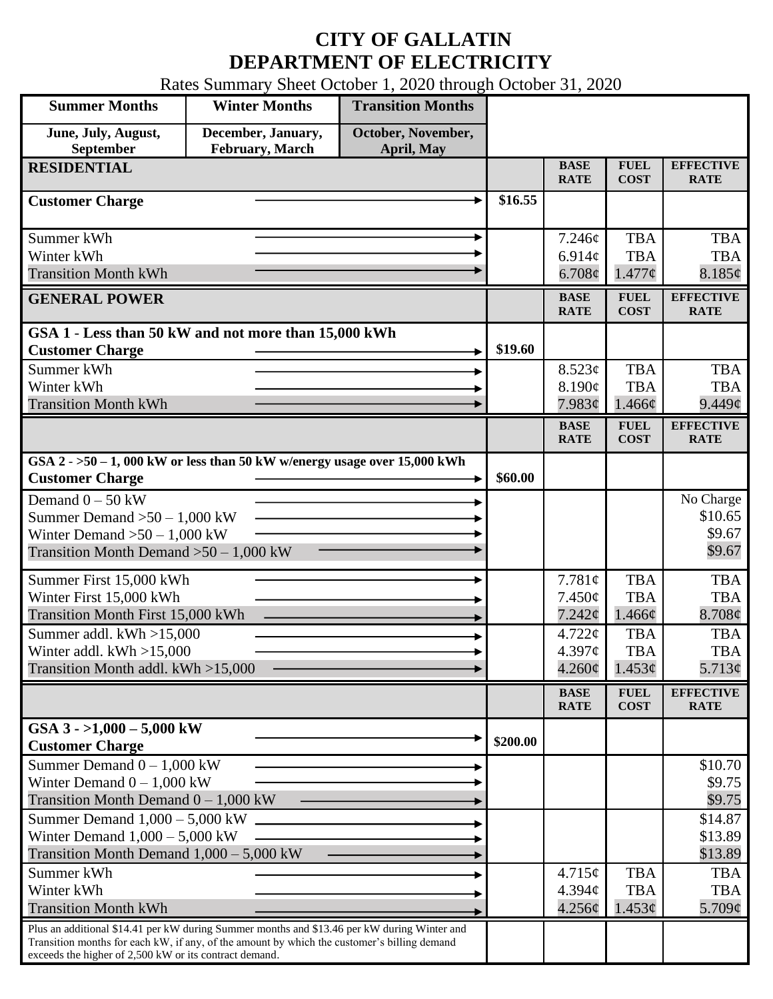## **CITY OF GALLATIN DEPARTMENT OF ELECTRICITY**

Rates Summary Sheet October 1, 2020 through October 31, 2020

| <b>Summer Months</b>                                                                                                                                                                       | <b>Winter Months</b>                  | <b>Transition Months</b>         |          |                            |                            |                                 |
|--------------------------------------------------------------------------------------------------------------------------------------------------------------------------------------------|---------------------------------------|----------------------------------|----------|----------------------------|----------------------------|---------------------------------|
| June, July, August,<br>September                                                                                                                                                           | December, January,<br>February, March | October, November,<br>April, May |          |                            |                            |                                 |
| <b>RESIDENTIAL</b>                                                                                                                                                                         |                                       |                                  |          | <b>BASE</b>                | <b>FUEL</b>                | <b>EFFECTIVE</b>                |
|                                                                                                                                                                                            |                                       |                                  |          | <b>RATE</b>                | <b>COST</b>                | <b>RATE</b>                     |
| <b>Customer Charge</b>                                                                                                                                                                     |                                       |                                  | \$16.55  |                            |                            |                                 |
| Summer kWh                                                                                                                                                                                 |                                       |                                  |          | 7.246¢                     | <b>TBA</b>                 | <b>TBA</b>                      |
| Winter kWh                                                                                                                                                                                 |                                       |                                  |          | 6.914c                     | <b>TBA</b>                 | <b>TBA</b>                      |
| <b>Transition Month kWh</b>                                                                                                                                                                |                                       |                                  |          | $6.708\phi$                | 1.477c                     | 8.185¢                          |
| <b>GENERAL POWER</b>                                                                                                                                                                       |                                       |                                  |          | <b>BASE</b><br><b>RATE</b> | <b>FUEL</b><br><b>COST</b> | <b>EFFECTIVE</b><br><b>RATE</b> |
| GSA 1 - Less than 50 kW and not more than 15,000 kWh                                                                                                                                       |                                       |                                  |          |                            |                            |                                 |
| <b>Customer Charge</b>                                                                                                                                                                     |                                       |                                  | \$19.60  |                            |                            |                                 |
| Summer kWh                                                                                                                                                                                 |                                       |                                  |          | 8.523¢                     | <b>TBA</b>                 | <b>TBA</b>                      |
| Winter kWh                                                                                                                                                                                 |                                       |                                  |          | 8.190¢                     | <b>TBA</b>                 | <b>TBA</b>                      |
| <b>Transition Month kWh</b>                                                                                                                                                                |                                       |                                  |          | 7.983¢                     | 1.466¢                     | 9.449 <sub>¢</sub>              |
|                                                                                                                                                                                            |                                       |                                  |          | <b>BASE</b><br><b>RATE</b> | <b>FUEL</b><br><b>COST</b> | <b>EFFECTIVE</b><br><b>RATE</b> |
| GSA $2 - 50 - 1$ , 000 kW or less than 50 kW w/energy usage over 15,000 kWh<br><b>Customer Charge</b>                                                                                      |                                       |                                  | \$60.00  |                            |                            |                                 |
|                                                                                                                                                                                            |                                       |                                  |          |                            |                            |                                 |
| Demand $0 - 50$ kW                                                                                                                                                                         |                                       |                                  |          |                            |                            | No Charge<br>\$10.65            |
| Summer Demand $>50-1,000$ kW<br>Winter Demand $>50-1,000$ kW                                                                                                                               |                                       |                                  |          |                            |                            | \$9.67                          |
| Transition Month Demand $>50-1,000$ kW                                                                                                                                                     |                                       |                                  |          |                            |                            | \$9.67                          |
|                                                                                                                                                                                            |                                       |                                  |          |                            |                            |                                 |
| Summer First 15,000 kWh                                                                                                                                                                    |                                       |                                  |          | 7.781¢                     | <b>TBA</b>                 | <b>TBA</b>                      |
| Winter First 15,000 kWh                                                                                                                                                                    |                                       |                                  |          | $7.450\phi$                | <b>TBA</b>                 | <b>TBA</b>                      |
| Transition Month First 15,000 kWh                                                                                                                                                          |                                       |                                  |          | 7.242¢                     | 1.466¢                     | 8.708¢                          |
| Summer addl. $kWh > 15,000$                                                                                                                                                                |                                       |                                  |          | 4.722¢<br>4.397¢           | <b>TBA</b><br><b>TBA</b>   | <b>TBA</b><br><b>TBA</b>        |
| Winter addl. $kWh > 15,000$<br>Transition Month addl. kWh >15,000                                                                                                                          |                                       |                                  |          | $4.260\phi$                | 1.453¢                     | 5.713¢                          |
|                                                                                                                                                                                            |                                       |                                  |          |                            |                            |                                 |
|                                                                                                                                                                                            |                                       |                                  |          | <b>BASE</b><br><b>RATE</b> | <b>FUEL</b><br><b>COST</b> | <b>EFFECTIVE</b><br><b>RATE</b> |
| GSA $3 - 1,000 - 5,000$ kW<br><b>Customer Charge</b>                                                                                                                                       |                                       |                                  | \$200.00 |                            |                            |                                 |
| Summer Demand $0 - 1,000$ kW                                                                                                                                                               |                                       |                                  |          |                            |                            | \$10.70                         |
| Winter Demand $0 - 1,000$ kW                                                                                                                                                               |                                       |                                  |          |                            |                            | \$9.75                          |
| Transition Month Demand $0 - 1,000$ kW                                                                                                                                                     |                                       |                                  |          |                            |                            | \$9.75                          |
| Summer Demand $1,000 - 5,000$ kW                                                                                                                                                           |                                       |                                  |          |                            |                            | \$14.87                         |
| Winter Demand $1,000 - 5,000$ kW                                                                                                                                                           |                                       |                                  |          |                            |                            | \$13.89                         |
| Transition Month Demand $1,000 - 5,000$ kW                                                                                                                                                 |                                       |                                  |          |                            |                            | \$13.89                         |
| Summer kWh                                                                                                                                                                                 |                                       |                                  |          | 4.715¢                     | <b>TBA</b>                 | <b>TBA</b>                      |
| Winter kWh                                                                                                                                                                                 |                                       |                                  |          | 4.394c                     | <b>TBA</b>                 | <b>TBA</b>                      |
| <b>Transition Month kWh</b>                                                                                                                                                                |                                       |                                  |          | 4.256¢                     | 1.453¢                     | 5.709 $\phi$                    |
| Plus an additional \$14.41 per kW during Summer months and \$13.46 per kW during Winter and<br>Transition months for each kW, if any, of the amount by which the customer's billing demand |                                       |                                  |          |                            |                            |                                 |
| exceeds the higher of 2,500 kW or its contract demand.                                                                                                                                     |                                       |                                  |          |                            |                            |                                 |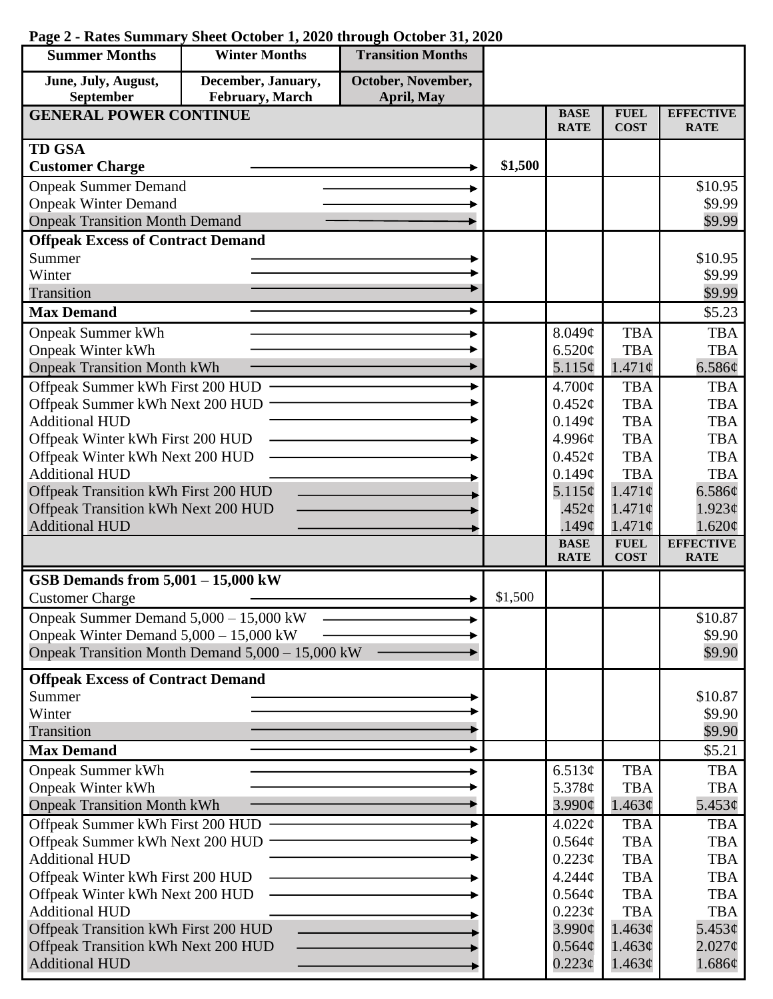| <b>Summer Months</b>                                                | <b>Winter Months</b>                             | <b>Transition Months</b> |         |                            |                            |                                 |
|---------------------------------------------------------------------|--------------------------------------------------|--------------------------|---------|----------------------------|----------------------------|---------------------------------|
| June, July, August,                                                 | December, January,                               | October, November,       |         |                            |                            |                                 |
| September                                                           | February, March                                  | April, May               |         |                            |                            |                                 |
| <b>GENERAL POWER CONTINUE</b>                                       |                                                  |                          |         | <b>BASE</b><br><b>RATE</b> | <b>FUEL</b><br><b>COST</b> | <b>EFFECTIVE</b><br><b>RATE</b> |
| <b>TD GSA</b>                                                       |                                                  |                          |         |                            |                            |                                 |
| <b>Customer Charge</b>                                              |                                                  |                          | \$1,500 |                            |                            |                                 |
| <b>Onpeak Summer Demand</b>                                         |                                                  |                          |         |                            |                            | \$10.95                         |
| <b>Onpeak Winter Demand</b>                                         |                                                  |                          |         |                            |                            | \$9.99                          |
| <b>Onpeak Transition Month Demand</b>                               |                                                  |                          |         |                            |                            | \$9.99                          |
| <b>Offpeak Excess of Contract Demand</b>                            |                                                  |                          |         |                            |                            |                                 |
| Summer                                                              |                                                  |                          |         |                            |                            | \$10.95                         |
| Winter                                                              |                                                  |                          |         |                            |                            | \$9.99                          |
| Transition                                                          |                                                  |                          |         |                            |                            | \$9.99                          |
| <b>Max Demand</b>                                                   |                                                  |                          |         |                            |                            | \$5.23                          |
| <b>Onpeak Summer kWh</b>                                            |                                                  |                          |         | 8.049¢                     | <b>TBA</b>                 | <b>TBA</b>                      |
| <b>Onpeak Winter kWh</b>                                            |                                                  |                          |         | 6.520¢                     | <b>TBA</b>                 | <b>TBA</b>                      |
| <b>Onpeak Transition Month kWh</b>                                  |                                                  |                          |         | 5.115¢                     | 1.471c                     | 6.586¢                          |
| Offpeak Summer kWh First 200 HUD                                    |                                                  |                          |         | $4.700\text{¢}$            | <b>TBA</b>                 | <b>TBA</b>                      |
| Offpeak Summer kWh Next 200 HUD                                     |                                                  |                          |         | $0.452\varphi$             | <b>TBA</b>                 | <b>TBA</b>                      |
| <b>Additional HUD</b>                                               |                                                  |                          |         | 0.149¢                     | <b>TBA</b>                 | <b>TBA</b>                      |
| Offpeak Winter kWh First 200 HUD                                    |                                                  |                          |         | 4.996¢<br>0.452¢           | <b>TBA</b><br><b>TBA</b>   | <b>TBA</b><br><b>TBA</b>        |
| Offpeak Winter kWh Next 200 HUD<br><b>Additional HUD</b>            |                                                  |                          |         | 0.149¢                     | <b>TBA</b>                 | <b>TBA</b>                      |
| Offpeak Transition kWh First 200 HUD                                |                                                  |                          |         | $5.115\phi$                | $1.471\phi$                | 6.586¢                          |
| Offpeak Transition kWh Next 200 HUD                                 |                                                  |                          |         | .452 $\phi$                | $1.471\phi$                | 1.923¢                          |
| <b>Additional HUD</b>                                               |                                                  |                          |         | .149¢                      | $1.471\phi$                | 1.620¢                          |
|                                                                     |                                                  |                          |         | <b>BASE</b>                | <b>FUEL</b>                | <b>EFFECTIVE</b>                |
|                                                                     |                                                  |                          |         | <b>RATE</b>                | <b>COST</b>                | <b>RATE</b>                     |
| GSB Demands from $5,001 - 15,000$ kW                                |                                                  |                          |         |                            |                            |                                 |
| <b>Customer Charge</b>                                              |                                                  |                          | \$1,500 |                            |                            |                                 |
| Onpeak Summer Demand 5,000 - 15,000 kW                              |                                                  |                          |         |                            |                            | \$10.87                         |
| Onpeak Winter Demand $5,000 - 15,000$ kW                            |                                                  |                          |         |                            |                            | \$9.90                          |
|                                                                     | Onpeak Transition Month Demand 5,000 - 15,000 kW |                          |         |                            |                            | \$9.90                          |
| <b>Offpeak Excess of Contract Demand</b>                            |                                                  |                          |         |                            |                            |                                 |
| Summer                                                              |                                                  |                          |         |                            |                            | \$10.87                         |
| Winter                                                              |                                                  |                          |         |                            |                            | \$9.90                          |
| Transition                                                          |                                                  |                          |         |                            |                            | \$9.90                          |
| <b>Max Demand</b>                                                   |                                                  |                          |         |                            |                            | \$5.21                          |
| <b>Onpeak Summer kWh</b>                                            |                                                  |                          |         | 6.513¢                     | <b>TBA</b>                 | <b>TBA</b>                      |
| <b>Onpeak Winter kWh</b>                                            |                                                  |                          |         | 5.378 $\phi$<br>3.990¢     | <b>TBA</b><br>1.463¢       | <b>TBA</b><br>5.453¢            |
| <b>Onpeak Transition Month kWh</b>                                  |                                                  |                          |         | 4.022¢                     | <b>TBA</b>                 | <b>TBA</b>                      |
| Offpeak Summer kWh First 200 HUD<br>Offpeak Summer kWh Next 200 HUD |                                                  |                          |         | 0.564¢                     | <b>TBA</b>                 | <b>TBA</b>                      |
| <b>Additional HUD</b>                                               |                                                  |                          |         | 0.223¢                     | <b>TBA</b>                 | <b>TBA</b>                      |
| Offpeak Winter kWh First 200 HUD                                    |                                                  |                          |         | 4.244¢                     | <b>TBA</b>                 | <b>TBA</b>                      |
| Offpeak Winter kWh Next 200 HUD                                     |                                                  |                          |         | 0.564¢                     | <b>TBA</b>                 | <b>TBA</b>                      |
| <b>Additional HUD</b>                                               |                                                  |                          |         | 0.223¢                     | <b>TBA</b>                 | <b>TBA</b>                      |
| Offpeak Transition kWh First 200 HUD                                |                                                  |                          |         | $3.990\phi$                | 1.463¢                     | 5.453¢                          |
| Offpeak Transition kWh Next 200 HUD                                 |                                                  |                          |         | $0.564\phi$                | 1.463¢                     | $2.027\phi$                     |
| <b>Additional HUD</b>                                               |                                                  |                          |         | $0.223\phi$                | 1.463¢                     | 1.686¢                          |

## **Page 2 - Rates Summary Sheet October 1, 2020 through October 31, 2020**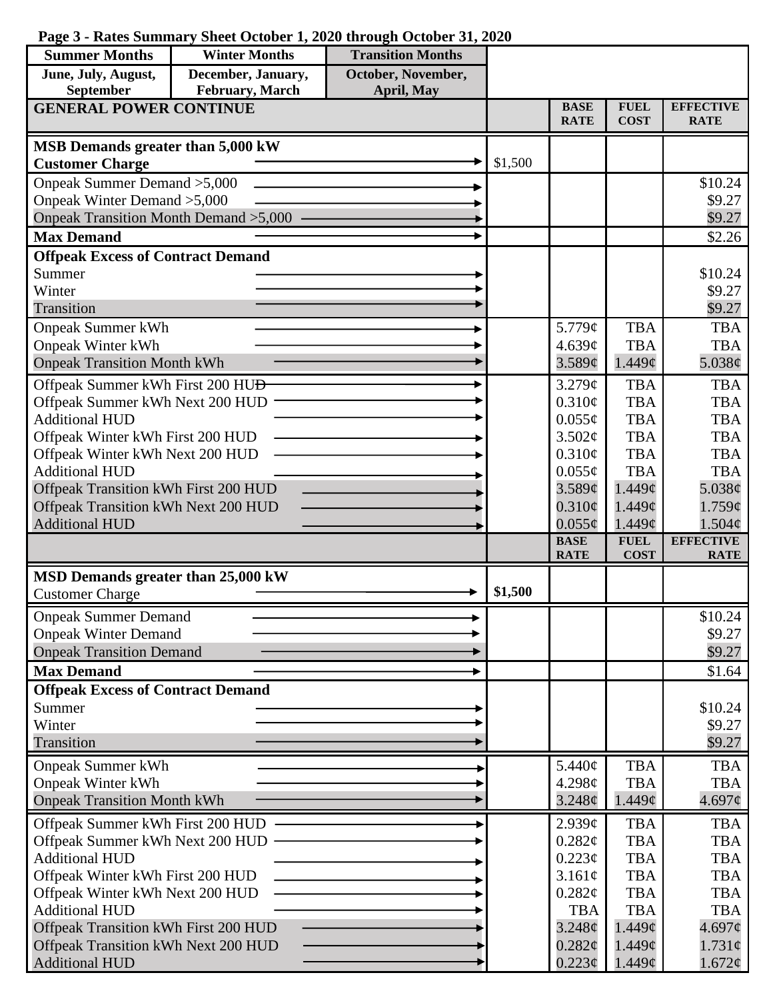|  | Page 3 - Rates Summary Sheet October 1, 2020 through October 31, 2020 |  |  |  |  |  |  |
|--|-----------------------------------------------------------------------|--|--|--|--|--|--|
|--|-----------------------------------------------------------------------|--|--|--|--|--|--|

| <b>Summer Months</b>                                      | <b>Winter Months</b> | <b>Transition Months</b> |         |                            |                            |                                 |
|-----------------------------------------------------------|----------------------|--------------------------|---------|----------------------------|----------------------------|---------------------------------|
| June, July, August,                                       | December, January,   | October, November,       |         |                            |                            |                                 |
| September                                                 | February, March      | April, May               |         |                            |                            |                                 |
| <b>GENERAL POWER CONTINUE</b>                             |                      |                          |         | <b>BASE</b><br><b>RATE</b> | <b>FUEL</b><br><b>COST</b> | <b>EFFECTIVE</b><br><b>RATE</b> |
| MSB Demands greater than 5,000 kW                         |                      |                          |         |                            |                            |                                 |
| <b>Customer Charge</b>                                    |                      |                          | \$1,500 |                            |                            |                                 |
| Onpeak Summer Demand > 5,000                              |                      |                          |         |                            |                            | \$10.24                         |
| Onpeak Winter Demand > 5,000                              |                      |                          |         |                            |                            | \$9.27                          |
| Onpeak Transition Month Demand > 5,000                    |                      |                          |         |                            |                            | \$9.27                          |
| <b>Max Demand</b>                                         |                      |                          |         |                            |                            | \$2.26                          |
| <b>Offpeak Excess of Contract Demand</b>                  |                      |                          |         |                            |                            |                                 |
| Summer<br>Winter                                          |                      |                          |         |                            |                            | \$10.24<br>\$9.27               |
| Transition                                                |                      |                          |         |                            |                            | \$9.27                          |
| <b>Onpeak Summer kWh</b>                                  |                      |                          |         | 5.779¢                     | <b>TBA</b>                 | <b>TBA</b>                      |
| <b>Onpeak Winter kWh</b>                                  |                      |                          |         | 4.639c                     | <b>TBA</b>                 | <b>TBA</b>                      |
| <b>Onpeak Transition Month kWh</b>                        |                      |                          |         | 3.589¢                     | 1.449 <sub>c</sub>         | 5.038¢                          |
| Offpeak Summer kWh First 200 HU <del>D</del>              |                      |                          |         | 3.279¢                     | <b>TBA</b>                 | <b>TBA</b>                      |
| Offpeak Summer kWh Next 200 HUD                           |                      |                          |         | 0.310¢                     | <b>TBA</b>                 | <b>TBA</b>                      |
| <b>Additional HUD</b>                                     |                      |                          |         | $0.055\phi$                | <b>TBA</b>                 | <b>TBA</b>                      |
| Offpeak Winter kWh First 200 HUD                          |                      |                          |         | 3.502¢                     | <b>TBA</b>                 | <b>TBA</b>                      |
| Offpeak Winter kWh Next 200 HUD                           |                      |                          |         | 0.310¢                     | <b>TBA</b>                 | <b>TBA</b>                      |
| <b>Additional HUD</b>                                     |                      |                          |         | $0.055\phi$                | <b>TBA</b>                 | <b>TBA</b>                      |
| Offpeak Transition kWh First 200 HUD                      |                      |                          |         | 3.589¢                     | $1.449\mathcal{C}$         | 5.038¢                          |
| Offpeak Transition kWh Next 200 HUD                       |                      |                          |         | $0.310\phi$                | $1.449\mathcal{C}$         | 1.759¢                          |
| <b>Additional HUD</b>                                     |                      |                          |         | $0.055\phi$                | $1.449\mathcal{C}$         | $1.504\phi$                     |
|                                                           |                      |                          |         | <b>BASE</b><br><b>RATE</b> | <b>FUEL</b><br><b>COST</b> | <b>EFFECTIVE</b><br><b>RATE</b> |
| MSD Demands greater than 25,000 kW                        |                      |                          |         |                            |                            |                                 |
| <b>Customer Charge</b>                                    |                      |                          | \$1,500 |                            |                            |                                 |
| <b>Onpeak Summer Demand</b>                               |                      |                          |         |                            |                            | \$10.24                         |
| <b>Onpeak Winter Demand</b>                               |                      |                          |         |                            |                            | \$9.27                          |
| <b>Onpeak Transition Demand</b>                           |                      |                          |         |                            |                            | \$9.27                          |
| <b>Max Demand</b>                                         |                      |                          |         |                            |                            | \$1.64                          |
| <b>Offpeak Excess of Contract Demand</b>                  |                      |                          |         |                            |                            |                                 |
| Summer                                                    |                      |                          |         |                            |                            | \$10.24                         |
| Winter<br>Transition                                      |                      |                          |         |                            |                            | \$9.27                          |
|                                                           |                      |                          |         |                            |                            | \$9.27                          |
| <b>Onpeak Summer kWh</b>                                  |                      |                          |         | 5.440¢                     | <b>TBA</b>                 | <b>TBA</b>                      |
| <b>Onpeak Winter kWh</b>                                  |                      |                          |         | 4.298c                     | <b>TBA</b>                 | <b>TBA</b>                      |
| <b>Onpeak Transition Month kWh</b>                        |                      |                          |         | 3.248¢                     | 1.449¢                     | 4.697¢                          |
| Offpeak Summer kWh First 200 HUD                          |                      |                          |         | 2.939¢                     | <b>TBA</b>                 | <b>TBA</b>                      |
| Offpeak Summer kWh Next 200 HUD                           |                      |                          |         | $0.282\varphi$             | <b>TBA</b>                 | <b>TBA</b>                      |
| <b>Additional HUD</b><br>Offpeak Winter kWh First 200 HUD |                      |                          |         | $0.223\phi$<br>3.161¢      | <b>TBA</b><br><b>TBA</b>   | <b>TBA</b><br><b>TBA</b>        |
| Offpeak Winter kWh Next 200 HUD                           |                      |                          |         | $0.282\varphi$             | <b>TBA</b>                 | <b>TBA</b>                      |
| <b>Additional HUD</b>                                     |                      |                          |         | <b>TBA</b>                 | <b>TBA</b>                 | <b>TBA</b>                      |
| Offpeak Transition kWh First 200 HUD                      |                      |                          |         | 3.248¢                     | 1.449¢                     | 4.697¢                          |
| Offpeak Transition kWh Next 200 HUD                       |                      |                          |         | 0.282¢                     | $1.449\mathcal{C}$         | $1.731\phi$                     |
| <b>Additional HUD</b>                                     |                      |                          |         | $0.223\epsilon$            | $1.449\mathcal{C}$         | 1.672¢                          |